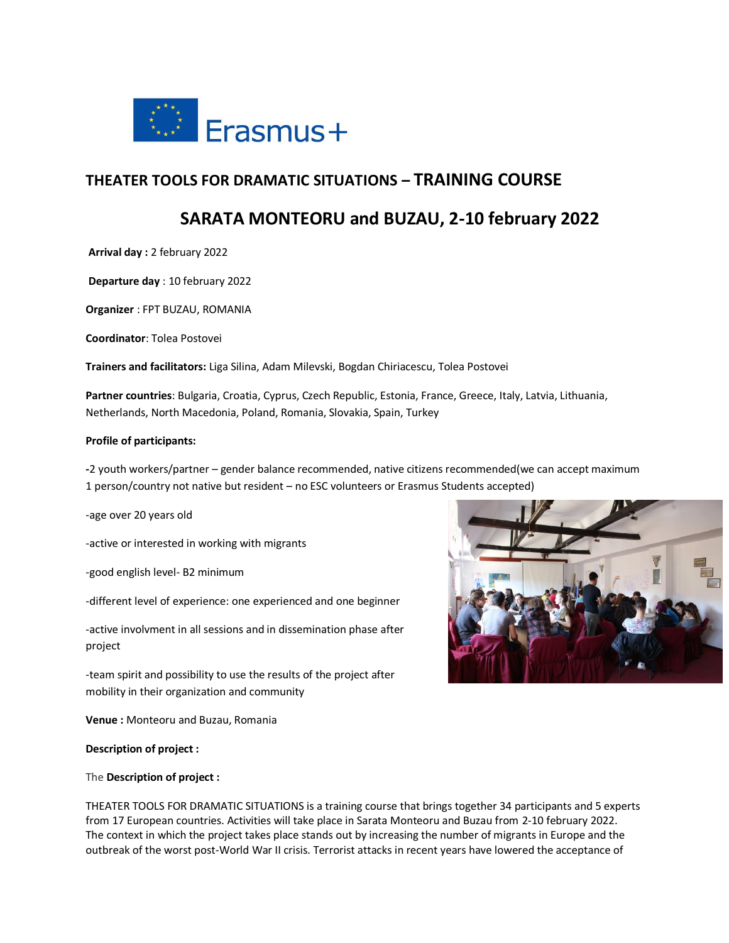

# **THEATER TOOLS FOR DRAMATIC SITUATIONS – TRAINING COURSE**

# **SARATA MONTEORU and BUZAU, 2-10 february 2022**

**Arrival day :** 2 february 2022

**Departure day** : 10 february 2022

**Organizer** : FPT BUZAU, ROMANIA

**Coordinator**: Tolea Postovei

**Trainers and facilitators:** Liga Silina, Adam Milevski, Bogdan Chiriacescu, Tolea Postovei

**Partner countries**: Bulgaria, Croatia, Cyprus, Czech Republic, Estonia, France, Greece, Italy, Latvia, Lithuania, Netherlands, North Macedonia, Poland, Romania, Slovakia, Spain, Turkey

#### **Profile of participants:**

**-**2 youth workers/partner – gender balance recommended, native citizens recommended(we can accept maximum 1 person/country not native but resident – no ESC volunteers or Erasmus Students accepted)

-age over 20 years old

-active or interested in working with migrants

-good english level- B2 minimum

-different level of experience: one experienced and one beginner

-active involvment in all sessions and in dissemination phase after project

-team spirit and possibility to use the results of the project after mobility in their organization and community

**Venue :** Monteoru and Buzau, Romania

#### **Description of project :**

#### The **Description of project :**

THEATER TOOLS FOR DRAMATIC SITUATIONS is a training course that brings together 34 participants and 5 experts from 17 European countries. Activities will take place in Sarata Monteoru and Buzau from 2-10 february 2022. The context in which the project takes place stands out by increasing the number of migrants in Europe and the outbreak of the worst post-World War II crisis. Terrorist attacks in recent years have lowered the acceptance of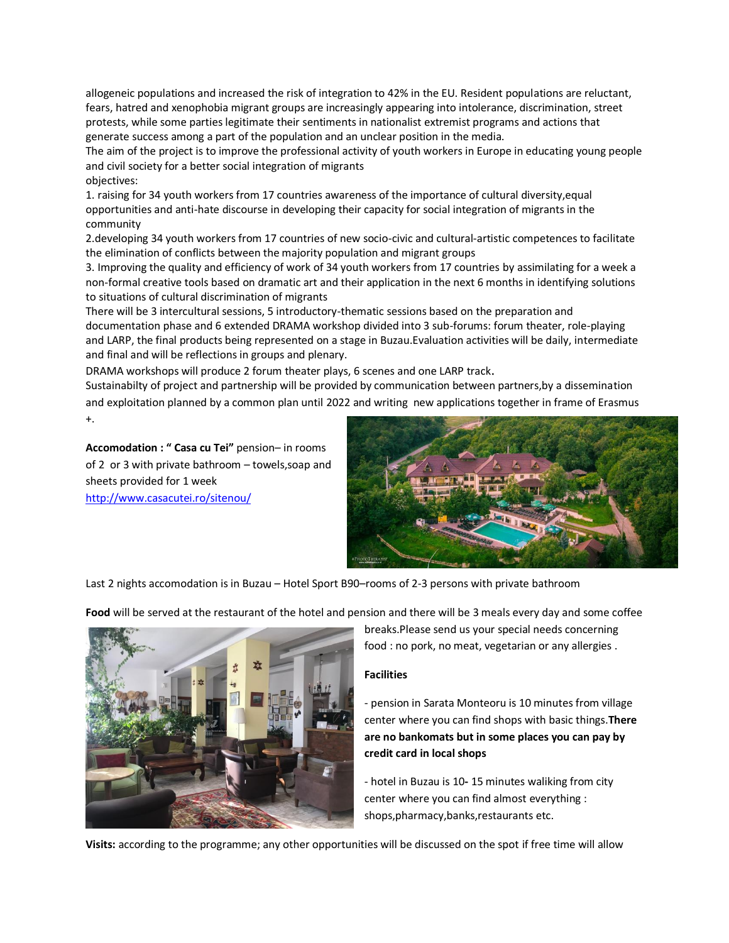allogeneic populations and increased the risk of integration to 42% in the EU. Resident populations are reluctant, fears, hatred and xenophobia migrant groups are increasingly appearing into intolerance, discrimination, street protests, while some parties legitimate their sentiments in nationalist extremist programs and actions that generate success among a part of the population and an unclear position in the media.

The aim of the project is to improve the professional activity of youth workers in Europe in educating young people and civil society for a better social integration of migrants objectives:

1. raising for 34 youth workers from 17 countries awareness of the importance of cultural diversity,equal opportunities and anti-hate discourse in developing their capacity for social integration of migrants in the community

2.developing 34 youth workers from 17 countries of new socio-civic and cultural-artistic competences to facilitate the elimination of conflicts between the majority population and migrant groups

3. Improving the quality and efficiency of work of 34 youth workers from 17 countries by assimilating for a week a non-formal creative tools based on dramatic art and their application in the next 6 months in identifying solutions to situations of cultural discrimination of migrants

There will be 3 intercultural sessions, 5 introductory-thematic sessions based on the preparation and documentation phase and 6 extended DRAMA workshop divided into 3 sub-forums: forum theater, role-playing and LARP, the final products being represented on a stage in Buzau.Evaluation activities will be daily, intermediate and final and will be reflections in groups and plenary.

DRAMA workshops will produce 2 forum theater plays, 6 scenes and one LARP track.

Sustainabilty of project and partnership will be provided by communication between partners,by a dissemination and exploitation planned by a common plan until 2022 and writing new applications together in frame of Erasmus +.

**Accomodation : " Casa cu Tei"** pension– in rooms of 2 or 3 with private bathroom – towels,soap and sheets provided for 1 week

<http://www.casacutei.ro/sitenou/>



Last 2 nights accomodation is in Buzau – Hotel Sport B90–rooms of 2-3 persons with private bathroom

**Food** will be served at the restaurant of the hotel and pension and there will be 3 meals every day and some coffee



breaks.Please send us your special needs concerning food : no pork, no meat, vegetarian or any allergies .

# **Facilities**

- pension in Sarata Monteoru is 10 minutes from village center where you can find shops with basic things.**There are no bankomats but in some places you can pay by credit card in local shops**

- hotel in Buzau is 10**-** 15 minutes waliking from city center where you can find almost everything : shops,pharmacy,banks,restaurants etc.

**Visits:** according to the programme; any other opportunities will be discussed on the spot if free time will allow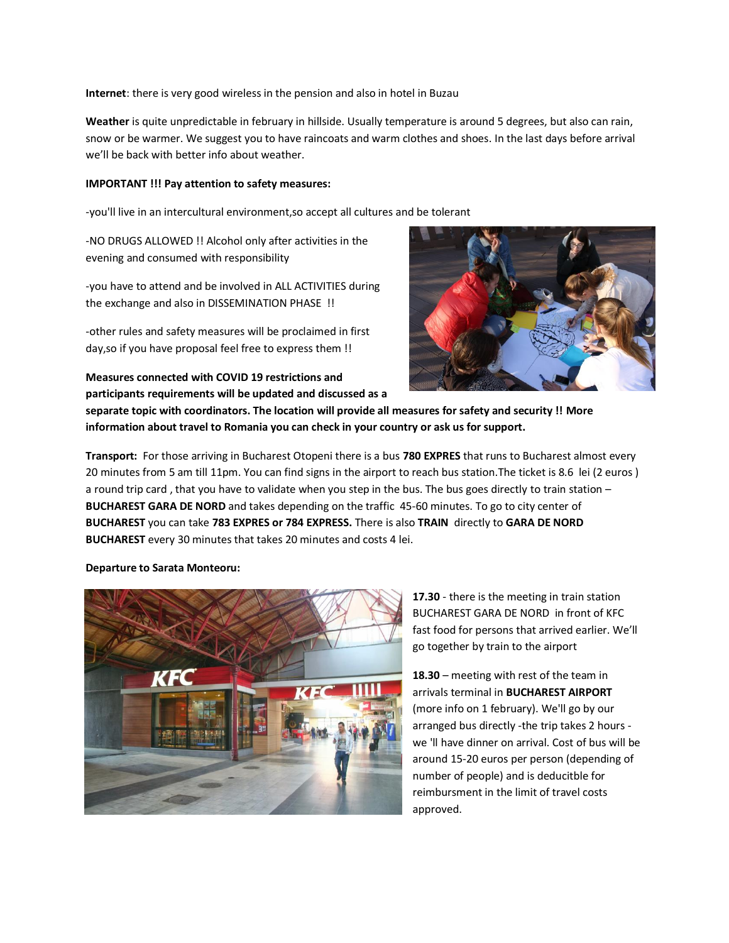**Internet**: there is very good wireless in the pension and also in hotel in Buzau

**Weather** is quite unpredictable in february in hillside. Usually temperature is around 5 degrees, but also can rain, snow or be warmer. We suggest you to have raincoats and warm clothes and shoes. In the last days before arrival we'll be back with better info about weather.

#### **IMPORTANT !!! Pay attention to safety measures:**

-you'll live in an intercultural environment,so accept all cultures and be tolerant

-NO DRUGS ALLOWED !! Alcohol only after activities in the evening and consumed with responsibility

-you have to attend and be involved in ALL ACTIVITIES during the exchange and also in DISSEMINATION PHASE !!

-other rules and safety measures will be proclaimed in first day,so if you have proposal feel free to express them !!

**Measures connected with COVID 19 restrictions and participants requirements will be updated and discussed as a** 



**separate topic with coordinators. The location will provide all measures for safety and security !! More information about travel to Romania you can check in your country or ask us for support.**

**Transport:** For those arriving in Bucharest Otopeni there is a bus **780 EXPRES** that runs to Bucharest almost every 20 minutes from 5 am till 11pm. You can find signs in the airport to reach bus station.The ticket is 8.6 lei (2 euros ) a round trip card , that you have to validate when you step in the bus. The bus goes directly to train station – **BUCHAREST GARA DE NORD** and takes depending on the traffic 45-60 minutes. To go to city center of **BUCHAREST** you can take **783 EXPRES or 784 EXPRESS.** There is also **TRAIN** directly to **GARA DE NORD BUCHAREST** every 30 minutes that takes 20 minutes and costs 4 lei.

### **Departure to Sarata Monteoru:**



**17.30** - there is the meeting in train station BUCHAREST GARA DE NORD in front of KFC fast food for persons that arrived earlier. We'll go together by train to the airport

**18.30** – meeting with rest of the team in arrivals terminal in **BUCHAREST AIRPORT** (more info on 1 february). We'll go by our arranged bus directly -the trip takes 2 hours we 'll have dinner on arrival. Cost of bus will be around 15-20 euros per person (depending of number of people) and is deducitble for reimbursment in the limit of travel costs approved.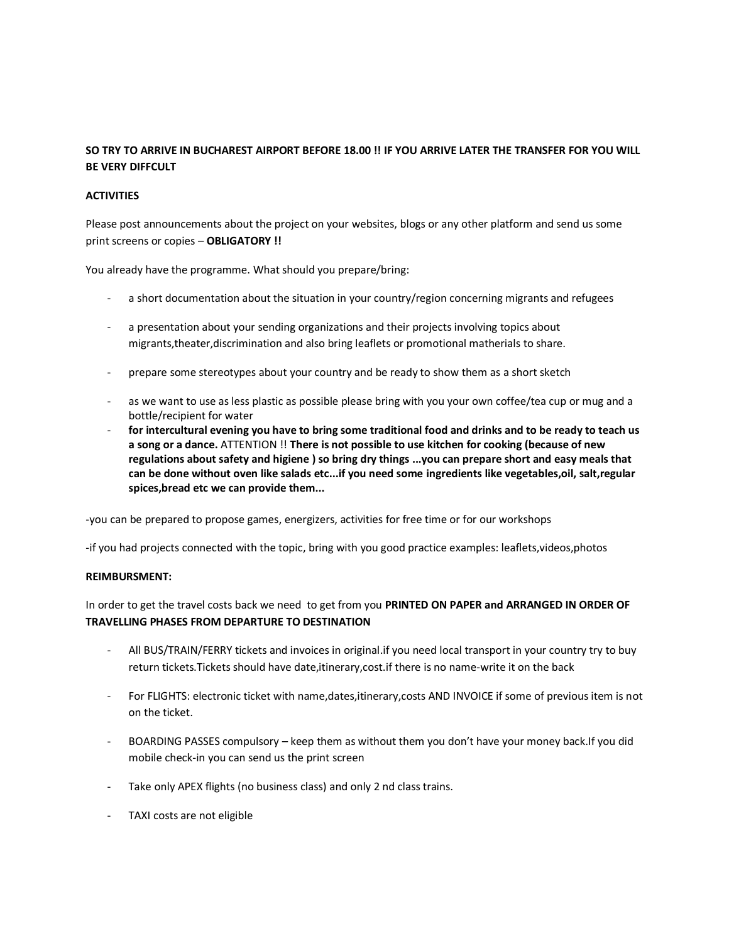# **SO TRY TO ARRIVE IN BUCHAREST AIRPORT BEFORE 18.00 !! IF YOU ARRIVE LATER THE TRANSFER FOR YOU WILL BE VERY DIFFCULT**

# **ACTIVITIES**

Please post announcements about the project on your websites, blogs or any other platform and send us some print screens or copies – **OBLIGATORY !!**

You already have the programme. What should you prepare/bring:

- a short documentation about the situation in your country/region concerning migrants and refugees
- a presentation about your sending organizations and their projects involving topics about migrants,theater,discrimination and also bring leaflets or promotional matherials to share.
- prepare some stereotypes about your country and be ready to show them as a short sketch
- as we want to use as less plastic as possible please bring with you your own coffee/tea cup or mug and a bottle/recipient for water
- **for intercultural evening you have to bring some traditional food and drinks and to be ready to teach us a song or a dance.** ATTENTION !! **There is not possible to use kitchen for cooking (because of new regulations about safety and higiene ) so bring dry things ...you can prepare short and easy meals that can be done without oven like salads etc...if you need some ingredients like vegetables,oil, salt,regular spices,bread etc we can provide them...**

-you can be prepared to propose games, energizers, activities for free time or for our workshops

-if you had projects connected with the topic, bring with you good practice examples: leaflets,videos,photos

### **REIMBURSMENT:**

In order to get the travel costs back we need to get from you **PRINTED ON PAPER and ARRANGED IN ORDER OF TRAVELLING PHASES FROM DEPARTURE TO DESTINATION**

- All BUS/TRAIN/FERRY tickets and invoices in original.if you need local transport in your country try to buy return tickets.Tickets should have date,itinerary,cost.if there is no name-write it on the back
- For FLIGHTS: electronic ticket with name,dates,itinerary,costs AND INVOICE if some of previous item is not on the ticket.
- BOARDING PASSES compulsory keep them as without them you don't have your money back.If you did mobile check-in you can send us the print screen
- Take only APEX flights (no business class) and only 2 nd class trains.
- TAXI costs are not eligible